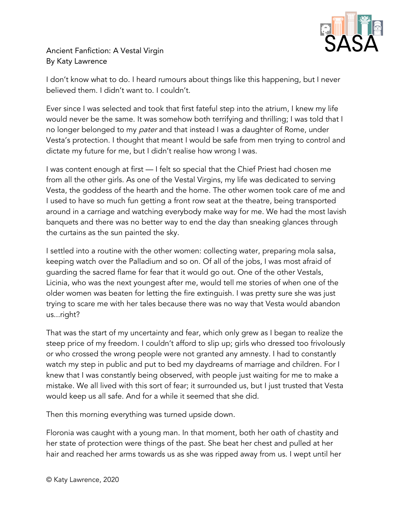

Ancient Fanfiction: A Vestal Virgin By Katy Lawrence

I don't know what to do. I heard rumours about things like this happening, but I never believed them. I didn't want to. I couldn't.

Ever since I was selected and took that first fateful step into the atrium, I knew my life would never be the same. It was somehow both terrifying and thrilling; I was told that I no longer belonged to my *pater* and that instead I was a daughter of Rome, under Vesta's protection. I thought that meant I would be safe from men trying to control and dictate my future for me, but I didn't realise how wrong I was.

I was content enough at first — I felt so special that the Chief Priest had chosen me from all the other girls. As one of the Vestal Virgins, my life was dedicated to serving Vesta, the goddess of the hearth and the home. The other women took care of me and I used to have so much fun getting a front row seat at the theatre, being transported around in a carriage and watching everybody make way for me. We had the most lavish banquets and there was no better way to end the day than sneaking glances through the curtains as the sun painted the sky.

I settled into a routine with the other women: collecting water, preparing mola salsa, keeping watch over the Palladium and so on. Of all of the jobs, I was most afraid of guarding the sacred flame for fear that it would go out. One of the other Vestals, Licinia, who was the next youngest after me, would tell me stories of when one of the older women was beaten for letting the fire extinguish. I was pretty sure she was just trying to scare me with her tales because there was no way that Vesta would abandon us...right?

That was the start of my uncertainty and fear, which only grew as I began to realize the steep price of my freedom. I couldn't afford to slip up; girls who dressed too frivolously or who crossed the wrong people were not granted any amnesty. I had to constantly watch my step in public and put to bed my daydreams of marriage and children. For I knew that I was constantly being observed, with people just waiting for me to make a mistake. We all lived with this sort of fear; it surrounded us, but I just trusted that Vesta would keep us all safe. And for a while it seemed that she did.

Then this morning everything was turned upside down.

Floronia was caught with a young man. In that moment, both her oath of chastity and her state of protection were things of the past. She beat her chest and pulled at her hair and reached her arms towards us as she was ripped away from us. I wept until her